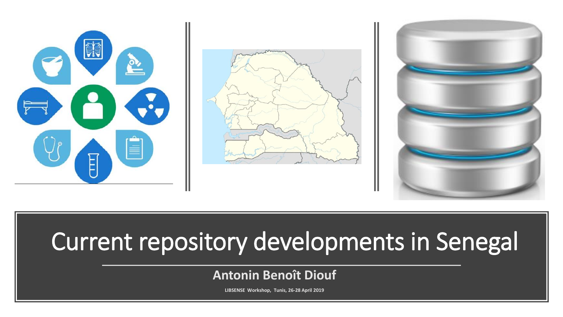





# Current repository developments in Senegal

### **Antonin Benoît Diouf**

**LIBSENSE Workshop, Tunis, 26-28 April 2019**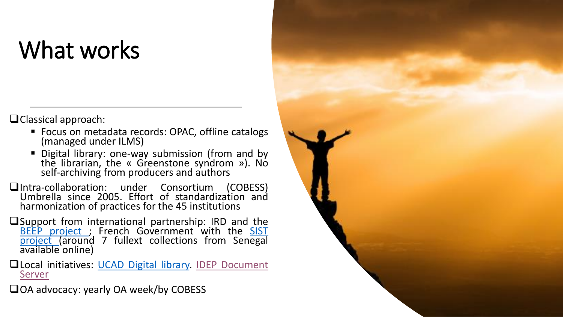## What works

❑Classical approach:

- Focus on metadata records: OPAC, offline catalogs (managed under ILMS)
- Digital library: one-way submission (from and by the librarian, the « Greenstone syndrom »). No self-archiving from producers and authors
- ❑Intra-collaboration: under Consortium (COBESS) Umbrella since 2005. Effort of standardization and harmonization of practices for the 45 institutions
- ❑Support from international partnership: IRD and the BEEP [project](http://www.beep.ird.fr/cgi-bin/library.cgi) ; French [Government](https://web.archive.org/web/20140106154905/http:/www.sist.sn/rubrique.php3?id_rubrique=3&recalcul=oui) with the SIST project (around 7 fullext collections from Senegal available online)
- ❑Local initiatives: UCAD Digital [library.](http://bibnum.ucad.sn/greenstone/cgi-bin/library.cgi?site=localhost&a=p&p=about&c=theses&l=fr&w=utf-8) IDEP [Document](http://www.unidep.org/library/) Server

❑OA advocacy: yearly OA week/by COBESS

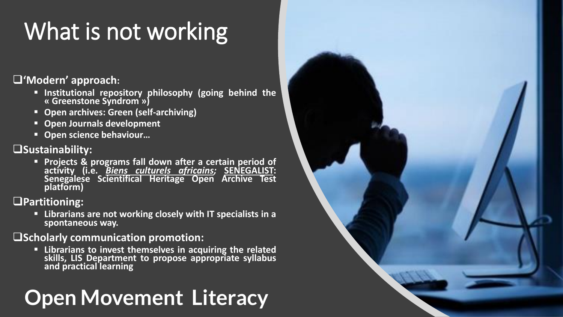# What is not working

### ❑**'Modern' approach:**

- **Institutional repository philosophy (going behind the « Greenstone Syndrom »)**
- **Open archives: Green (self-archiving)**
- **Open Journals development**
- **Open science behaviour…**

### ❑**Sustainability:**

▪ **Projects & programs fall down after a certain period of activity (i.e.** *Biens culturels [africains;](http://bca.ucad.sn/jspui/)* **SENEGALIST: Senegalese Scientifical Heritage Open Archive Test platform)**

### ❑**Partitioning:**

▪ **Librarians are not working closely with IT specialists in a spontaneous way.**

#### ❑**Scholarly communication promotion:**

▪ **Librarians to invest themselves in acquiring the related skills, LIS Department to propose appropriate syllabus and practical learning**

### **Open Movement Literacy**

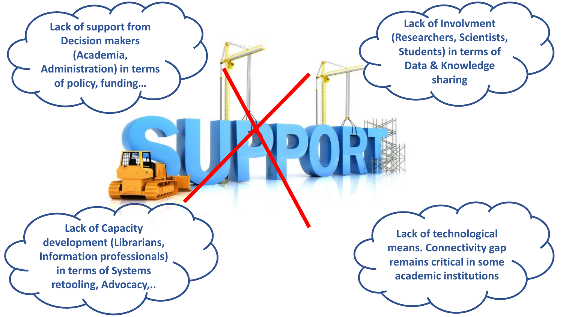**Lack of support from Decision makers (Academia, Administration) in terms of policy, funding…**

**Lack of Involvment (Researchers, Scientists, Students) in terms of Data & Knowledge sharing**

**Lack of Capacity development (Librarians, Information professionals) in terms of Systems retooling, Advocacy,..**

**Lack of technological means. Connectivity gap remains critical in some academic institutions**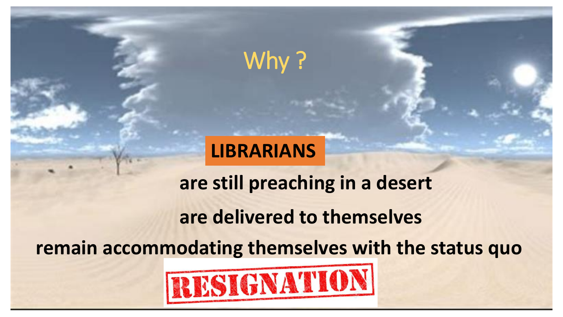### Why?

### **LIBRARIANS**

**are still preaching in a desert are delivered to themselves**

**remain accommodating themselves with the status quo** 

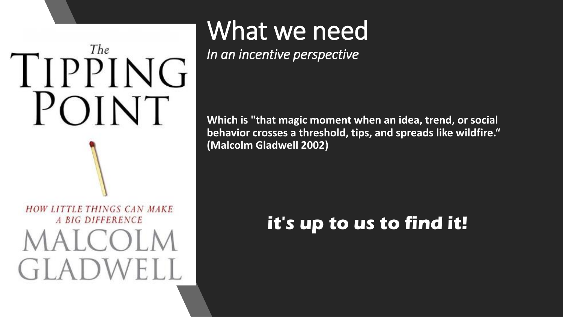# The TIPPING POINT HOW LITTLE THINGS CAN MAKE A BIG DIFFERENCE  $|CO|$

# What we need

*In an incentive perspective*

**Which is "that magic moment when an idea, trend, or social behavior crosses a threshold, tips, and spreads like wildfire." (Malcolm Gladwell 2002)**

### **it's up to us to find it!**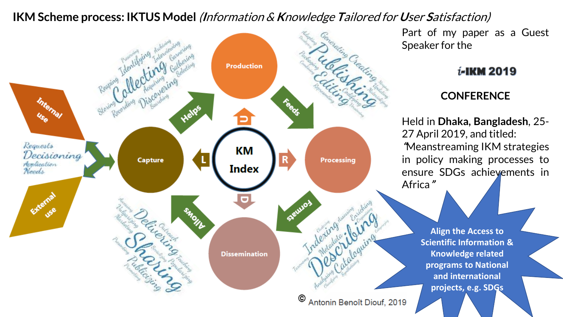### **IKM Scheme process: IKTUS Model** (**I**nformation & **K**nowledge **T**ailored for **U**ser **S**atisfaction)



Part of my paper as a Guest Speaker for the

#### *i*-IKM 2019

### **CONFERENCE**

Held in **Dhaka, Bangladesh**, 25- 27 April 2019, and titled: **"**Meanstreaming IKM strategies in policy making processes to ensure SDGs achievements in Africa**"**

> **Align the Access to Scientific Information & Knowledge related programs to National and international projects, e.g. SDGs**

> > $\overline{\phantom{a}}$

Antonin Benoît Diouf, 2019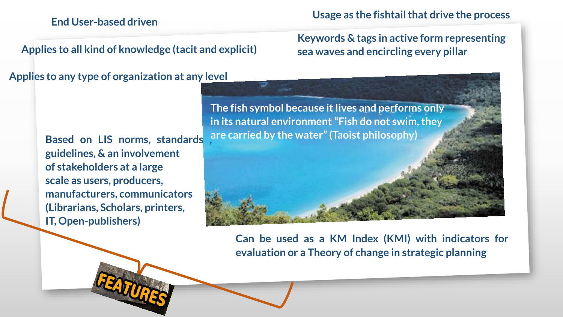#### **End User-based driven**

**Applies to all kind of knowledge (tacit and explicit)**

#### **Applies to any type of organization at any level**

**guidelines, & an involvement of stakeholders at a large scale as users, producers, manufacturers, communicators (Librarians, Scholars, printers, IT, Open-publishers)**

**Usage as the fishtailthat drive the process**

### **Keywords & tags in active form representing sea waves and encircling every pillar**

**The fish symbol because itlives and performs only in its natural environment "Fish do not swim,they are carried by the water"(Taoist philosophy) Based on LIS norms, standards ,**

> **Can be used as a KM Index (KMI) with indicators for evaluation or a Theory of change in strategic planning**